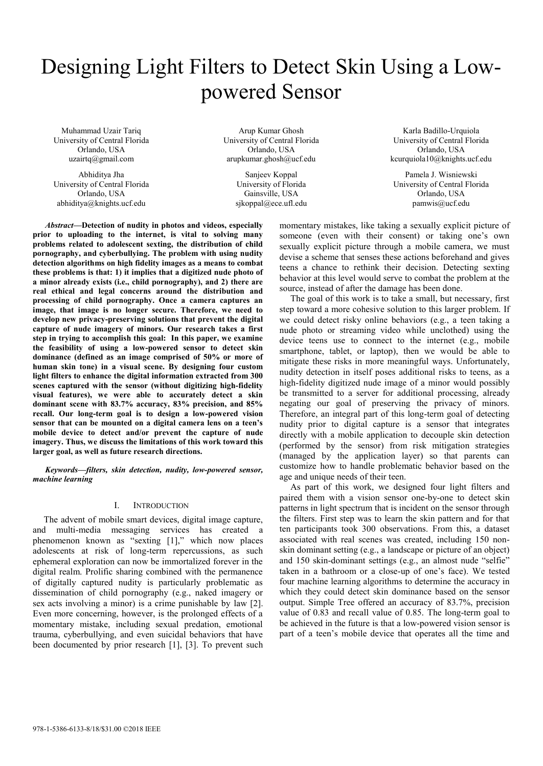# Designing Light Filters to Detect Skin Using a Lowpowered Sensor

Muhammad Uzair Tariq University of Central Florida Orlando, USA uzairtq@gmail.com

Abhiditya Jha University of Central Florida Orlando, USA abhiditya@knights.ucf.edu

Arup Kumar Ghosh University of Central Florida Orlando, USA arupkumar.ghosh@ucf.edu

> Sanjeev Koppal University of Florida Gainsville, USA sjkoppal@ece.ufl.edu

*Abstract***—Detection of nudity in photos and videos, especially prior to uploading to the internet, is vital to solving many problems related to adolescent sexting, the distribution of child pornography, and cyberbullying. The problem with using nudity detection algorithms on high fidelity images as a means to combat these problems is that: 1) it implies that a digitized nude photo of a minor already exists (i.e., child pornography), and 2) there are real ethical and legal concerns around the distribution and processing of child pornography. Once a camera captures an image, that image is no longer secure. Therefore, we need to develop new privacy-preserving solutions that prevent the digital capture of nude imagery of minors. Our research takes a first step in trying to accomplish this goal: In this paper, we examine the feasibility of using a low-powered sensor to detect skin dominance (defined as an image comprised of 50% or more of human skin tone) in a visual scene. By designing four custom light filters to enhance the digital information extracted from 300 scenes captured with the sensor (without digitizing high-fidelity visual features), we were able to accurately detect a skin dominant scene with 83.7% accuracy, 83% precision, and 85% recall. Our long-term goal is to design a low-powered vision sensor that can be mounted on a digital camera lens on a teen's mobile device to detect and/or prevent the capture of nude imagery. Thus, we discuss the limitations of this work toward this larger goal, as well as future research directions.**

*Keywords—filters, skin detection, nudity, low-powered sensor, machine learning*

## I. INTRODUCTION

The advent of mobile smart devices, digital image capture, and multi-media messaging services has created a phenomenon known as "sexting [1]," which now places adolescents at risk of long-term repercussions, as such ephemeral exploration can now be immortalized forever in the digital realm. Prolific sharing combined with the permanence of digitally captured nudity is particularly problematic as dissemination of child pornography (e.g., naked imagery or sex acts involving a minor) is a crime punishable by law [2]. Even more concerning, however, is the prolonged effects of a momentary mistake, including sexual predation, emotional trauma, cyberbullying, and even suicidal behaviors that have been documented by prior research [1], [3]. To prevent such

Karla Badillo-Urquiola University of Central Florida Orlando, USA kcurquiola10@knights.ucf.edu

Pamela J. Wisniewski University of Central Florida Orlando, USA pamwis@ucf.edu

momentary mistakes, like taking a sexually explicit picture of someone (even with their consent) or taking one's own sexually explicit picture through a mobile camera, we must devise a scheme that senses these actions beforehand and gives teens a chance to rethink their decision. Detecting sexting behavior at this level would serve to combat the problem at the source, instead of after the damage has been done.

The goal of this work is to take a small, but necessary, first step toward a more cohesive solution to this larger problem. If we could detect risky online behaviors (e.g., a teen taking a nude photo or streaming video while unclothed) using the device teens use to connect to the internet (e.g., mobile smartphone, tablet, or laptop), then we would be able to mitigate these risks in more meaningful ways. Unfortunately, nudity detection in itself poses additional risks to teens, as a high-fidelity digitized nude image of a minor would possibly be transmitted to a server for additional processing, already negating our goal of preserving the privacy of minors. Therefore, an integral part of this long-term goal of detecting nudity prior to digital capture is a sensor that integrates directly with a mobile application to decouple skin detection (performed by the sensor) from risk mitigation strategies (managed by the application layer) so that parents can customize how to handle problematic behavior based on the age and unique needs of their teen.

As part of this work, we designed four light filters and paired them with a vision sensor one-by-one to detect skin patterns in light spectrum that is incident on the sensor through the filters. First step was to learn the skin pattern and for that ten participants took 300 observations. From this, a dataset associated with real scenes was created, including 150 nonskin dominant setting (e.g., a landscape or picture of an object) and 150 skin-dominant settings (e.g., an almost nude "selfie" taken in a bathroom or a close-up of one's face). We tested four machine learning algorithms to determine the accuracy in which they could detect skin dominance based on the sensor output. Simple Tree offered an accuracy of 83.7%, precision value of 0.83 and recall value of 0.85. The long-term goal to be achieved in the future is that a low-powered vision sensor is part of a teen's mobile device that operates all the time and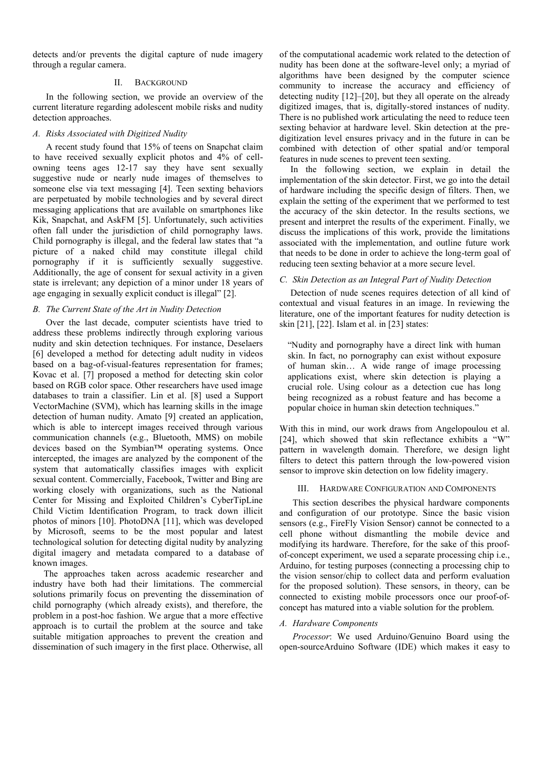detects and/or prevents the digital capture of nude imagery through a regular camera.

## II. BACKGROUND

In the following section, we provide an overview of the current literature regarding adolescent mobile risks and nudity detection approaches.

# *A. Risks Associated with Digitized Nudity*

A recent study found that 15% of teens on Snapchat claim to have received sexually explicit photos and 4% of cellowning teens ages 12-17 say they have sent sexually suggestive nude or nearly nude images of themselves to someone else via text messaging [4]. Teen sexting behaviors are perpetuated by mobile technologies and by several direct messaging applications that are available on smartphones like Kik, Snapchat, and AskFM [5]. Unfortunately, such activities often fall under the jurisdiction of child pornography laws. Child pornography is illegal, and the federal law states that "a picture of a naked child may constitute illegal child pornography if it is sufficiently sexually suggestive. Additionally, the age of consent for sexual activity in a given state is irrelevant; any depiction of a minor under 18 years of age engaging in sexually explicit conduct is illegal" [2].

## *B. The Current State of the Art in Nudity Detection*

Over the last decade, computer scientists have tried to address these problems indirectly through exploring various nudity and skin detection techniques. For instance, Deselaers [6] developed a method for detecting adult nudity in videos based on a bag-of-visual-features representation for frames; Kovac et al. [7] proposed a method for detecting skin color based on RGB color space. Other researchers have used image databases to train a classifier. Lin et al. [8] used a Support VectorMachine (SVM), which has learning skills in the image detection of human nudity. Amato [9] created an application, which is able to intercept images received through various communication channels (e.g., Bluetooth, MMS) on mobile devices based on the Symbian™ operating systems. Once intercepted, the images are analyzed by the component of the system that automatically classifies images with explicit sexual content. Commercially, Facebook, Twitter and Bing are working closely with organizations, such as the National Center for Missing and Exploited Children's CyberTipLine Child Victim Identification Program, to track down illicit photos of minors [10]. PhotoDNA [11], which was developed by Microsoft, seems to be the most popular and latest technological solution for detecting digital nudity by analyzing digital imagery and metadata compared to a database of known images.

The approaches taken across academic researcher and industry have both had their limitations. The commercial solutions primarily focus on preventing the dissemination of child pornography (which already exists), and therefore, the problem in a post-hoc fashion. We argue that a more effective approach is to curtail the problem at the source and take suitable mitigation approaches to prevent the creation and dissemination of such imagery in the first place. Otherwise, all

of the computational academic work related to the detection of nudity has been done at the software-level only; a myriad of algorithms have been designed by the computer science community to increase the accuracy and efficiency of detecting nudity [12]–[20], but they all operate on the already digitized images, that is, digitally-stored instances of nudity. There is no published work articulating the need to reduce teen sexting behavior at hardware level. Skin detection at the predigitization level ensures privacy and in the future in can be combined with detection of other spatial and/or temporal features in nude scenes to prevent teen sexting.

In the following section, we explain in detail the implementation of the skin detector. First, we go into the detail of hardware including the specific design of filters. Then, we explain the setting of the experiment that we performed to test the accuracy of the skin detector. In the results sections, we present and interpret the results of the experiment. Finally, we discuss the implications of this work, provide the limitations associated with the implementation, and outline future work that needs to be done in order to achieve the long-term goal of reducing teen sexting behavior at a more secure level.

## *C. Skin Detection as an Integral Part of Nudity Detection*

Detection of nude scenes requires detection of all kind of contextual and visual features in an image. In reviewing the literature, one of the important features for nudity detection is skin [21], [22]. Islam et al. in [23] states:

"Nudity and pornography have a direct link with human skin. In fact, no pornography can exist without exposure of human skin… A wide range of image processing applications exist, where skin detection is playing a crucial role. Using colour as a detection cue has long being recognized as a robust feature and has become a popular choice in human skin detection techniques."

With this in mind, our work draws from Angelopoulou et al. [24], which showed that skin reflectance exhibits a "W" pattern in wavelength domain. Therefore, we design light filters to detect this pattern through the low-powered vision sensor to improve skin detection on low fidelity imagery.

## III. HARDWARE CONFIGURATION AND COMPONENTS

This section describes the physical hardware components and configuration of our prototype. Since the basic vision sensors (e.g., FireFly Vision Sensor) cannot be connected to a cell phone without dismantling the mobile device and modifying its hardware. Therefore, for the sake of this proofof-concept experiment, we used a separate processing chip i.e., Arduino, for testing purposes (connecting a processing chip to the vision sensor/chip to collect data and perform evaluation for the proposed solution). These sensors, in theory, can be connected to existing mobile processors once our proof-ofconcept has matured into a viable solution for the problem.

## *A. Hardware Components*

*Processor*: We used Arduino/Genuino Board using the open-sourceArduino Software (IDE) which makes it easy to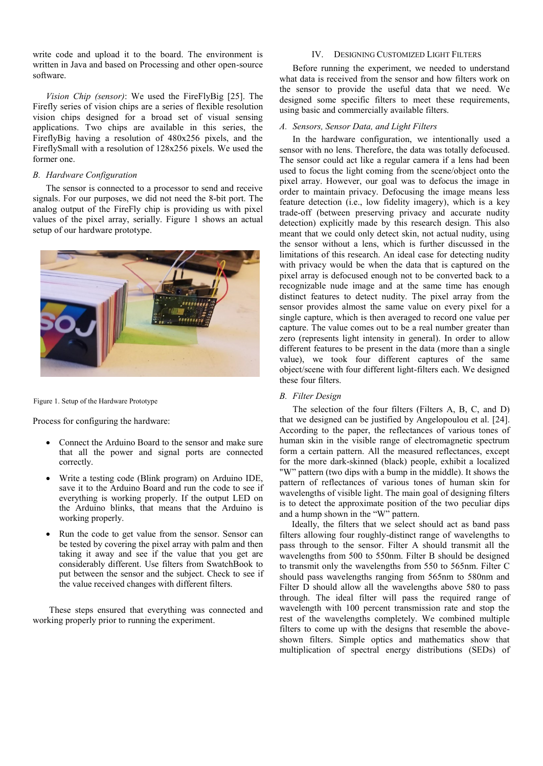write code and upload it to the board. The environment is written in Java and based on Processing and other open-source software.

*Vision Chip (sensor)*: We used the FireFlyBig [25]. The Firefly series of vision chips are a series of flexible resolution vision chips designed for a broad set of visual sensing applications. Two chips are available in this series, the FireflyBig having a resolution of 480x256 pixels, and the FireflySmall with a resolution of 128x256 pixels. We used the former one.

## *B. Hardware Configuration*

The sensor is connected to a processor to send and receive signals. For our purposes, we did not need the 8-bit port. The analog output of the FireFly chip is providing us with pixel values of the pixel array, serially. [Figure 1](#page-2-0) shows an actual setup of our hardware prototype.



<span id="page-2-0"></span>Figure 1. Setup of the Hardware Prototype

Process for configuring the hardware:

- Connect the Arduino Board to the sensor and make sure that all the power and signal ports are connected correctly.
- Write a testing code (Blink program) on Arduino IDE, save it to the Arduino Board and run the code to see if everything is working properly. If the output LED on the Arduino blinks, that means that the Arduino is working properly.
- Run the code to get value from the sensor. Sensor can be tested by covering the pixel array with palm and then taking it away and see if the value that you get are considerably different. Use filters from SwatchBook to put between the sensor and the subject. Check to see if the value received changes with different filters.

These steps ensured that everything was connected and working properly prior to running the experiment.

## IV. DESIGNING CUSTOMIZED LIGHT FILTERS

Before running the experiment, we needed to understand what data is received from the sensor and how filters work on the sensor to provide the useful data that we need. We designed some specific filters to meet these requirements, using basic and commercially available filters.

## *A. Sensors, Sensor Data, and Light Filters*

In the hardware configuration, we intentionally used a sensor with no lens. Therefore, the data was totally defocused. The sensor could act like a regular camera if a lens had been used to focus the light coming from the scene/object onto the pixel array. However, our goal was to defocus the image in order to maintain privacy. Defocusing the image means less feature detection (i.e., low fidelity imagery), which is a key trade-off (between preserving privacy and accurate nudity detection) explicitly made by this research design. This also meant that we could only detect skin, not actual nudity, using the sensor without a lens, which is further discussed in the limitations of this research. An ideal case for detecting nudity with privacy would be when the data that is captured on the pixel array is defocused enough not to be converted back to a recognizable nude image and at the same time has enough distinct features to detect nudity. The pixel array from the sensor provides almost the same value on every pixel for a single capture, which is then averaged to record one value per capture. The value comes out to be a real number greater than zero (represents light intensity in general). In order to allow different features to be present in the data (more than a single value), we took four different captures of the same object/scene with four different light-filters each. We designed these four filters.

## *B. Filter Design*

The selection of the four filters (Filters A, B, C, and D) that we designed can be justified by Angelopoulou et al. [24]. According to the paper, the reflectances of various tones of human skin in the visible range of electromagnetic spectrum form a certain pattern. All the measured reflectances, except for the more dark-skinned (black) people, exhibit a localized "W" pattern (two dips with a bump in the middle). It shows the pattern of reflectances of various tones of human skin for wavelengths of visible light. The main goal of designing filters is to detect the approximate position of the two peculiar dips and a hump shown in the "W" pattern.

Ideally, the filters that we select should act as band pass filters allowing four roughly-distinct range of wavelengths to pass through to the sensor. Filter A should transmit all the wavelengths from 500 to 550nm. Filter B should be designed to transmit only the wavelengths from 550 to 565nm. Filter C should pass wavelengths ranging from 565nm to 580nm and Filter D should allow all the wavelengths above 580 to pass through. The ideal filter will pass the required range of wavelength with 100 percent transmission rate and stop the rest of the wavelengths completely. We combined multiple filters to come up with the designs that resemble the aboveshown filters. Simple optics and mathematics show that multiplication of spectral energy distributions (SEDs) of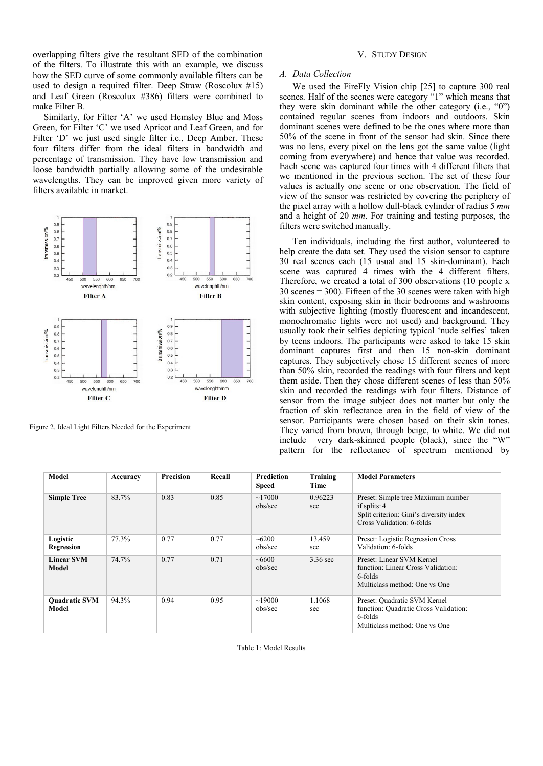overlapping filters give the resultant SED of the combination of the filters. To illustrate this with an example, we discuss how the SED curve of some commonly available filters can be used to design a required filter. Deep Straw (Roscolux #15) and Leaf Green (Roscolux #386) filters were combined to make Filter B.

Similarly, for Filter 'A' we used Hemsley Blue and Moss Green, for Filter 'C' we used Apricot and Leaf Green, and for Filter 'D' we just used single filter i.e., Deep Amber. These four filters differ from the ideal filters in bandwidth and percentage of transmission. They have low transmission and loose bandwidth partially allowing some of the undesirable wavelengths. They can be improved given more variety of filters available in market.



<span id="page-3-0"></span>Figure 2. Ideal Light Filters Needed for the Experiment

## V. STUDY DESIGN

## *A. Data Collection*

We used the FireFly Vision chip [25] to capture 300 real scenes. Half of the scenes were category "1" which means that they were skin dominant while the other category (i.e., "0") contained regular scenes from indoors and outdoors. Skin dominant scenes were defined to be the ones where more than 50% of the scene in front of the sensor had skin. Since there was no lens, every pixel on the lens got the same value (light coming from everywhere) and hence that value was recorded. Each scene was captured four times with 4 different filters that we mentioned in the previous section. The set of these four values is actually one scene or one observation. The field of view of the sensor was restricted by covering the periphery of the pixel array with a hollow dull-black cylinder of radius 5 *mm* and a height of 20 *mm*. For training and testing purposes, the filters were switched manually.

Ten individuals, including the first author, volunteered to help create the data set. They used the vision sensor to capture 30 real scenes each (15 usual and 15 skin-dominant). Each scene was captured 4 times with the 4 different filters. Therefore, we created a total of 300 observations (10 people x 30 scenes = 300). Fifteen of the 30 scenes were taken with high skin content, exposing skin in their bedrooms and washrooms with subjective lighting (mostly fluorescent and incandescent, monochromatic lights were not used) and background. They usually took their selfies depicting typical 'nude selfies' taken by teens indoors. The participants were asked to take 15 skin dominant captures first and then 15 non-skin dominant captures. They subjectively chose 15 different scenes of more than 50% skin, recorded the readings with four filters and kept them aside. Then they chose different scenes of less than 50% skin and recorded the readings with four filters. Distance of sensor from the image subject does not matter but only the fraction of skin reflectance area in the field of view of the sensor. Participants were chosen based on their skin tones. They varied from brown, through beige, to white. We did not include very dark-skinned people (black), since the "W" pattern for the reflectance of spectrum mentioned by

<span id="page-3-1"></span>

| Model                         | Accuracy | Precision | Recall | Prediction<br><b>Speed</b> | Training<br>Time | <b>Model Parameters</b>                                                                                                      |
|-------------------------------|----------|-----------|--------|----------------------------|------------------|------------------------------------------------------------------------------------------------------------------------------|
| <b>Simple Tree</b>            | 83.7%    | 0.83      | 0.85   | $\sim$ 17000<br>obs/sec    | 0.96223<br>sec   | Preset: Simple tree Maximum number<br>if splits: $4$<br>Split criterion: Gini's diversity index<br>Cross Validation: 6-folds |
| Logistic<br>Regression        | 77.3%    | 0.77      | 0.77   | ~100<br>obs/sec            | 13.459<br>sec    | Preset: Logistic Regression Cross<br>Validation: 6-folds                                                                     |
| <b>Linear SVM</b><br>Model    | 74.7%    | 0.77      | 0.71   | ~1000<br>obs/sec           | 3.36 sec         | Preset: Linear SVM Kernel<br>function: Linear Cross Validation:<br>6-folds<br>Multiclass method: One vs One                  |
| <b>Ouadratic SVM</b><br>Model | 94.3%    | 0.94      | 0.95   | ~19000<br>obs/sec          | 1.1068<br>sec    | Preset: Quadratic SVM Kernel<br>function: Quadratic Cross Validation:<br>6-folds<br>Multiclass method: One vs One            |

Table 1: Model Results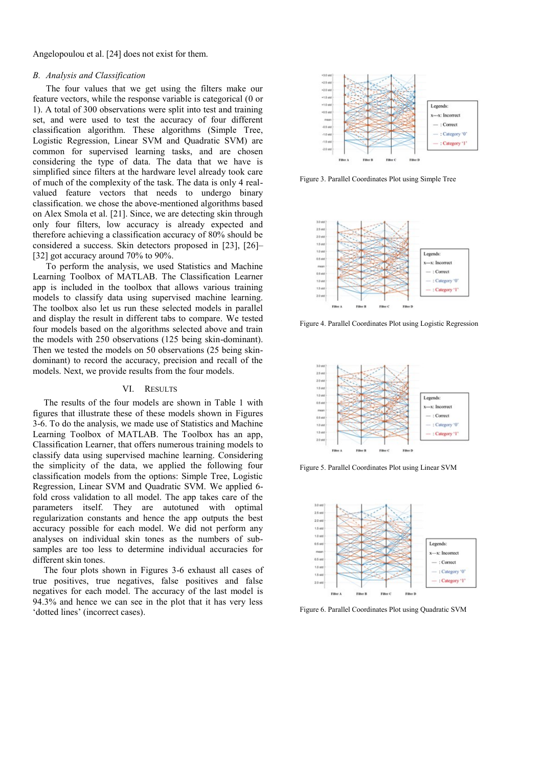Angelopoulou et al. [24] does not exist for them.

## *B. Analysis and Classification*

The four values that we get using the filters make our feature vectors, while the response variable is categorical (0 or 1). A total of 300 observations were split into test and training set, and were used to test the accuracy of four different classification algorithm. These algorithms (Simple Tree, Logistic Regression, Linear SVM and Quadratic SVM) are common for supervised learning tasks, and are chosen considering the type of data. The data that we have is simplified since filters at the hardware level already took care of much of the complexity of the task. The data is only 4 realvalued feature vectors that needs to undergo binary classification. we chose the above-mentioned algorithms based on Alex Smola et al. [21]. Since, we are detecting skin through only four filters, low accuracy is already expected and therefore achieving a classification accuracy of 80% should be considered a success. Skin detectors proposed in [23], [26]– [32] got accuracy around 70% to 90%.

To perform the analysis, we used Statistics and Machine Learning Toolbox of MATLAB. The Classification Learner app is included in the toolbox that allows various training models to classify data using supervised machine learning. The toolbox also let us run these selected models in parallel and display the result in different tabs to compare. We tested four models based on the algorithms selected above and train the models with 250 observations (125 being skin-dominant). Then we tested the models on 50 observations (25 being skindominant) to record the accuracy, precision and recall of the models. Next, we provide results from the four models.

## VI. RESULTS

The results of the four models are shown in Table 1 with figures that illustrate these of these models shown in Figures 3-6. To do the analysis, we made use of Statistics and Machine Learning Toolbox of MATLAB. The Toolbox has an app, Classification Learner, that offers numerous training models to classify data using supervised machine learning. Considering the simplicity of the data, we applied the following four classification models from the options: Simple Tree, Logistic Regression, Linear SVM and Quadratic SVM. We applied 6 fold cross validation to all model. The app takes care of the parameters itself. They are autotuned with optimal regularization constants and hence the app outputs the best accuracy possible for each model. We did not perform any analyses on individual skin tones as the numbers of subsamples are too less to determine individual accuracies for different skin tones.

The four plots shown in Figures 3-6 exhaust all cases of true positives, true negatives, false positives and false negatives for each model. The accuracy of the last model is 94.3% and hence we can see in the plot that it has very less 'dotted lines' (incorrect cases).



Figure 3. Parallel Coordinates Plot using Simple Tree



Figure 4. Parallel Coordinates Plot using Logistic Regression



Figure 5. Parallel Coordinates Plot using Linear SVM



Figure 6. Parallel Coordinates Plot using Quadratic SVM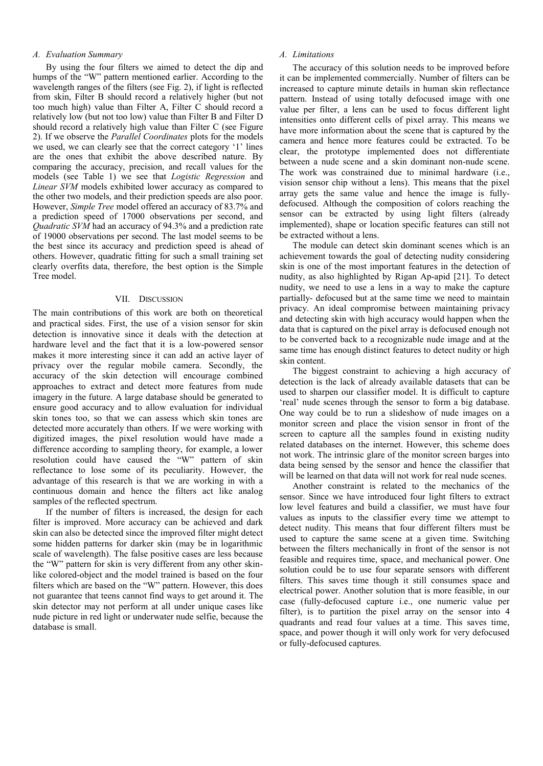#### *A. Evaluation Summary*

By using the four filters we aimed to detect the dip and humps of the "W" pattern mentioned earlier. According to the wavelength ranges of the filters (see Fig. 2), if light is reflected from skin, Filter B should record a relatively higher (but not too much high) value than Filter A, Filter C should record a relatively low (but not too low) value than Filter B and Filter D should record a relatively high value than Filter C (see [Figure](#page-3-0) [2\)](#page-3-0). If we observe the *Parallel Coordinates* plots for the models we used, we can clearly see that the correct category '1' lines are the ones that exhibit the above described nature. By comparing the accuracy, precision, and recall values for the models (see [Table 1\)](#page-3-1) we see that *Logistic Regression* and *Linear SVM* models exhibited lower accuracy as compared to the other two models, and their prediction speeds are also poor. However, *Simple Tree* model offered an accuracy of 83.7% and a prediction speed of 17000 observations per second, and *Quadratic SVM* had an accuracy of 94.3% and a prediction rate of 19000 observations per second. The last model seems to be the best since its accuracy and prediction speed is ahead of others. However, quadratic fitting for such a small training set clearly overfits data, therefore, the best option is the Simple Tree model.

## VII. DISCUSSION

The main contributions of this work are both on theoretical and practical sides. First, the use of a vision sensor for skin detection is innovative since it deals with the detection at hardware level and the fact that it is a low-powered sensor makes it more interesting since it can add an active layer of privacy over the regular mobile camera. Secondly, the accuracy of the skin detection will encourage combined approaches to extract and detect more features from nude imagery in the future. A large database should be generated to ensure good accuracy and to allow evaluation for individual skin tones too, so that we can assess which skin tones are detected more accurately than others. If we were working with digitized images, the pixel resolution would have made a difference according to sampling theory, for example, a lower resolution could have caused the "W" pattern of skin reflectance to lose some of its peculiarity. However, the advantage of this research is that we are working in with a continuous domain and hence the filters act like analog samples of the reflected spectrum.

If the number of filters is increased, the design for each filter is improved. More accuracy can be achieved and dark skin can also be detected since the improved filter might detect some hidden patterns for darker skin (may be in logarithmic scale of wavelength). The false positive cases are less because the "W" pattern for skin is very different from any other skinlike colored-object and the model trained is based on the four filters which are based on the "W" pattern. However, this does not guarantee that teens cannot find ways to get around it. The skin detector may not perform at all under unique cases like nude picture in red light or underwater nude selfie, because the database is small.

## *A. Limitations*

The accuracy of this solution needs to be improved before it can be implemented commercially. Number of filters can be increased to capture minute details in human skin reflectance pattern. Instead of using totally defocused image with one value per filter, a lens can be used to focus different light intensities onto different cells of pixel array. This means we have more information about the scene that is captured by the camera and hence more features could be extracted. To be clear, the prototype implemented does not differentiate between a nude scene and a skin dominant non-nude scene. The work was constrained due to minimal hardware (i.e., vision sensor chip without a lens). This means that the pixel array gets the same value and hence the image is fullydefocused. Although the composition of colors reaching the sensor can be extracted by using light filters (already implemented), shape or location specific features can still not be extracted without a lens.

The module can detect skin dominant scenes which is an achievement towards the goal of detecting nudity considering skin is one of the most important features in the detection of nudity, as also highlighted by Rigan Ap-apid [21]. To detect nudity, we need to use a lens in a way to make the capture partially- defocused but at the same time we need to maintain privacy. An ideal compromise between maintaining privacy and detecting skin with high accuracy would happen when the data that is captured on the pixel array is defocused enough not to be converted back to a recognizable nude image and at the same time has enough distinct features to detect nudity or high skin content.

The biggest constraint to achieving a high accuracy of detection is the lack of already available datasets that can be used to sharpen our classifier model. It is difficult to capture 'real' nude scenes through the sensor to form a big database. One way could be to run a slideshow of nude images on a monitor screen and place the vision sensor in front of the screen to capture all the samples found in existing nudity related databases on the internet. However, this scheme does not work. The intrinsic glare of the monitor screen barges into data being sensed by the sensor and hence the classifier that will be learned on that data will not work for real nude scenes.

Another constraint is related to the mechanics of the sensor. Since we have introduced four light filters to extract low level features and build a classifier, we must have four values as inputs to the classifier every time we attempt to detect nudity. This means that four different filters must be used to capture the same scene at a given time. Switching between the filters mechanically in front of the sensor is not feasible and requires time, space, and mechanical power. One solution could be to use four separate sensors with different filters. This saves time though it still consumes space and electrical power. Another solution that is more feasible, in our case (fully-defocused capture i.e., one numeric value per filter), is to partition the pixel array on the sensor into 4 quadrants and read four values at a time. This saves time, space, and power though it will only work for very defocused or fully-defocused captures.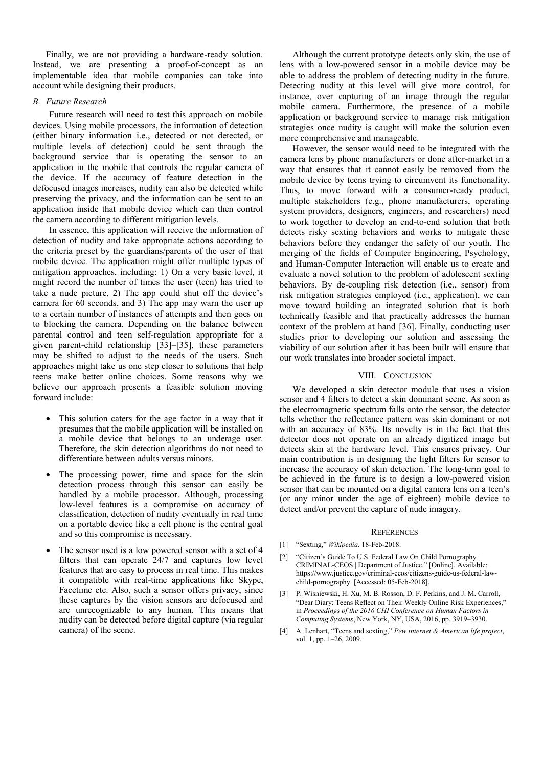Finally, we are not providing a hardware-ready solution. Instead, we are presenting a proof-of-concept as an implementable idea that mobile companies can take into account while designing their products.

## *B. Future Research*

Future research will need to test this approach on mobile devices. Using mobile processors, the information of detection (either binary information i.e., detected or not detected, or multiple levels of detection) could be sent through the background service that is operating the sensor to an application in the mobile that controls the regular camera of the device. If the accuracy of feature detection in the defocused images increases, nudity can also be detected while preserving the privacy, and the information can be sent to an application inside that mobile device which can then control the camera according to different mitigation levels.

In essence, this application will receive the information of detection of nudity and take appropriate actions according to the criteria preset by the guardians/parents of the user of that mobile device. The application might offer multiple types of mitigation approaches, including: 1) On a very basic level, it might record the number of times the user (teen) has tried to take a nude picture, 2) The app could shut off the device's camera for 60 seconds, and 3) The app may warn the user up to a certain number of instances of attempts and then goes on to blocking the camera. Depending on the balance between parental control and teen self-regulation appropriate for a given parent-child relationship [33]–[35], these parameters may be shifted to adjust to the needs of the users. Such approaches might take us one step closer to solutions that help teens make better online choices. Some reasons why we believe our approach presents a feasible solution moving forward include:

- This solution caters for the age factor in a way that it presumes that the mobile application will be installed on a mobile device that belongs to an underage user. Therefore, the skin detection algorithms do not need to differentiate between adults versus minors.
- The processing power, time and space for the skin detection process through this sensor can easily be handled by a mobile processor. Although, processing low-level features is a compromise on accuracy of classification, detection of nudity eventually in real time on a portable device like a cell phone is the central goal and so this compromise is necessary.
- The sensor used is a low powered sensor with a set of 4 filters that can operate 24/7 and captures low level features that are easy to process in real time. This makes it compatible with real-time applications like Skype, Facetime etc. Also, such a sensor offers privacy, since these captures by the vision sensors are defocused and are unrecognizable to any human. This means that nudity can be detected before digital capture (via regular camera) of the scene.

Although the current prototype detects only skin, the use of lens with a low-powered sensor in a mobile device may be able to address the problem of detecting nudity in the future. Detecting nudity at this level will give more control, for instance, over capturing of an image through the regular mobile camera. Furthermore, the presence of a mobile application or background service to manage risk mitigation strategies once nudity is caught will make the solution even more comprehensive and manageable.

However, the sensor would need to be integrated with the camera lens by phone manufacturers or done after-market in a way that ensures that it cannot easily be removed from the mobile device by teens trying to circumvent its functionality. Thus, to move forward with a consumer-ready product, multiple stakeholders (e.g., phone manufacturers, operating system providers, designers, engineers, and researchers) need to work together to develop an end-to-end solution that both detects risky sexting behaviors and works to mitigate these behaviors before they endanger the safety of our youth. The merging of the fields of Computer Engineering, Psychology, and Human-Computer Interaction will enable us to create and evaluate a novel solution to the problem of adolescent sexting behaviors. By de-coupling risk detection (i.e., sensor) from risk mitigation strategies employed (i.e., application), we can move toward building an integrated solution that is both technically feasible and that practically addresses the human context of the problem at hand [36]. Finally, conducting user studies prior to developing our solution and assessing the viability of our solution after it has been built will ensure that our work translates into broader societal impact.

## VIII. CONCLUSION

We developed a skin detector module that uses a vision sensor and 4 filters to detect a skin dominant scene. As soon as the electromagnetic spectrum falls onto the sensor, the detector tells whether the reflectance pattern was skin dominant or not with an accuracy of 83%. Its novelty is in the fact that this detector does not operate on an already digitized image but detects skin at the hardware level. This ensures privacy. Our main contribution is in designing the light filters for sensor to increase the accuracy of skin detection. The long-term goal to be achieved in the future is to design a low-powered vision sensor that can be mounted on a digital camera lens on a teen's (or any minor under the age of eighteen) mobile device to detect and/or prevent the capture of nude imagery.

#### **REFERENCES**

- [1] "Sexting," *Wikipedia*. 18-Feb-2018.
- [2] "Citizen's Guide To U.S. Federal Law On Child Pornography | CRIMINAL-CEOS | Department of Justice." [Online]. Available: https://www.justice.gov/criminal-ceos/citizens-guide-us-federal-lawchild-pornography. [Accessed: 05-Feb-2018].
- [3] P. Wisniewski, H. Xu, M. B. Rosson, D. F. Perkins, and J. M. Carroll, "Dear Diary: Teens Reflect on Their Weekly Online Risk Experiences," in *Proceedings of the 2016 CHI Conference on Human Factors in Computing Systems*, New York, NY, USA, 2016, pp. 3919–3930.
- [4] A. Lenhart, "Teens and sexting," *Pew internet & American life project*, vol. 1, pp. 1–26, 2009.